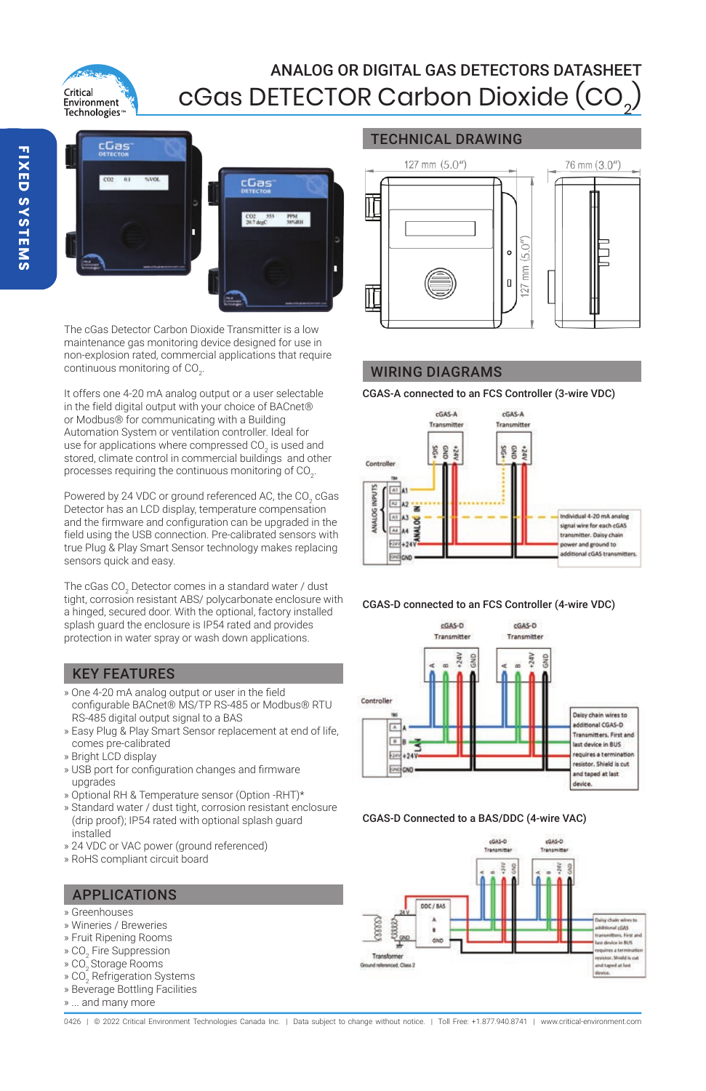# Critical **Environment** Technologies<sup>®</sup>

## ANALOG OR DIGITAL GAS DETECTORS DATASHEET cGas DETECTOR Carbon Dioxide (CO2 )

TECHNICAL DRAWING



The cGas Detector Carbon Dioxide Transmitter is a low maintenance gas monitoring device designed for use in non-explosion rated, commercial applications that require continuous monitoring of  $CO<sub>2</sub>$ .

It offers one 4-20 mA analog output or a user selectable in the field digital output with your choice of BACnet® or Modbus® for communicating with a Building Automation System or ventilation controller. Ideal for use for applications where compressed CO<sub>2</sub> is used and stored, climate control in commercial buildings and other processes requiring the continuous monitoring of CO<sub>2</sub>.

Powered by 24 VDC or ground referenced AC, the CO<sub>2</sub> cGas Detector has an LCD display, temperature compensation and the firmware and configuration can be upgraded in the field using the USB connection. Pre-calibrated sensors with true Plug & Play Smart Sensor technology makes replacing sensors quick and easy.

The cGas CO $_{\rm 2}$  Detector comes in a standard water / dust tight, corrosion resistant ABS/ polycarbonate enclosure with a hinged, secured door. With the optional, factory installed splash guard the enclosure is IP54 rated and provides protection in water spray or wash down applications.

# KEY FEATURES

- » One 4-20 mA analog output or user in the field configurable BACnet® MS/TP RS-485 or Modbus® RTU RS-485 digital output signal to a BAS
- » Easy Plug & Play Smart Sensor replacement at end of life, comes pre-calibrated
- » Bright LCD display
- » USB port for configuration changes and firmware upgrades
- » Optional RH & Temperature sensor (Option -RHT)\*
- » Standard water / dust tight, corrosion resistant enclosure (drip proof); IP54 rated with optional splash guard installed
- » 24 VDC or VAC power (ground referenced)
- » RoHS compliant circuit board

# APPLICATIONS

- » Greenhouses
- » Wineries / Breweries
- » Fruit Ripening Rooms
- » CO $_{\rm 2}$  Fire Suppression
- » CO<sub>2</sub> Storage Rooms
- » CO $_{\tiny 2}$  Refrigeration Systems
- » Beverage Bottling Facilities
- » ... and many more



## WIRING DIAGRAMS

CGAS-A connected to an FCS Controller (3-wire VDC)



CGAS-D connected to an FCS Controller (4-wire VDC)



#### CGAS-D Connected to a BAS/DDC (4-wire VAC)



0426 | @ 2022 Critical Environment Technologies Canada Inc. | Data subject to change without notice. | Toll Free: +1.877.940.8741 | www.critical-environment.com